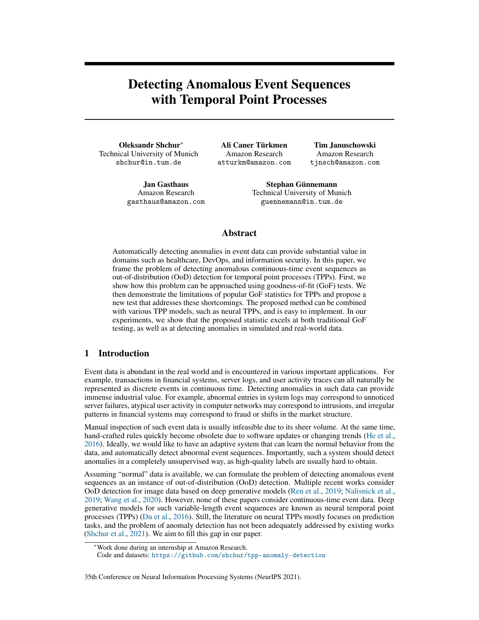# Detecting Anomalous Event Sequences with Temporal Point Processes

Oleksandr Shchur<sup>∗</sup> Technical University of Munich shchur@in.tum.de

Ali Caner Türkmen Amazon Research atturkm@amazon.com

Tim Januschowski Amazon Research tjnsch@amazon.com

Jan Gasthaus Amazon Research gasthaus@amazon.com

Stephan Günnemann Technical University of Munich guennemann@in.tum.de

# Abstract

Automatically detecting anomalies in event data can provide substantial value in domains such as healthcare, DevOps, and information security. In this paper, we frame the problem of detecting anomalous continuous-time event sequences as out-of-distribution (OoD) detection for temporal point processes (TPPs). First, we show how this problem can be approached using goodness-of-fit (GoF) tests. We then demonstrate the limitations of popular GoF statistics for TPPs and propose a new test that addresses these shortcomings. The proposed method can be combined with various TPP models, such as neural TPPs, and is easy to implement. In our experiments, we show that the proposed statistic excels at both traditional GoF testing, as well as at detecting anomalies in simulated and real-world data.

# 1 Introduction

Event data is abundant in the real world and is encountered in various important applications. For example, transactions in financial systems, server logs, and user activity traces can all naturally be represented as discrete events in continuous time. Detecting anomalies in such data can provide immense industrial value. For example, abnormal entries in system logs may correspond to unnoticed server failures, atypical user activity in computer networks may correspond to intrusions, and irregular patterns in financial systems may correspond to fraud or shifts in the market structure.

Manual inspection of such event data is usually infeasible due to its sheer volume. At the same time, hand-crafted rules quickly become obsolete due to software updates or changing trends [\(He et al.,](#page-10-0) [2016\)](#page-10-0). Ideally, we would like to have an adaptive system that can learn the normal behavior from the data, and automatically detect abnormal event sequences. Importantly, such a system should detect anomalies in a completely unsupervised way, as high-quality labels are usually hard to obtain.

Assuming "normal" data is available, we can formulate the problem of detecting anomalous event sequences as an instance of out-of-distribution (OoD) detection. Multiple recent works consider OoD detection for image data based on deep generative models [\(Ren et al.,](#page-11-0) [2019;](#page-11-0) [Nalisnick et al.,](#page-11-1) [2019;](#page-11-1) [Wang et al.,](#page-11-2) [2020\)](#page-11-2). However, none of these papers consider continuous-time event data. Deep generative models for such variable-length event sequences are known as neural temporal point processes (TPPs) [\(Du et al.,](#page-10-1) [2016\)](#page-10-1). Still, the literature on neural TPPs mostly focuses on prediction tasks, and the problem of anomaly detection has not been adequately addressed by existing works [\(Shchur et al.,](#page-11-3) [2021\)](#page-11-3). We aim to fill this gap in our paper.

#### 35th Conference on Neural Information Processing Systems (NeurIPS 2021).

<sup>∗</sup>Work done during an internship at Amazon Research.

Code and datasets: <https://github.com/shchur/tpp-anomaly-detection>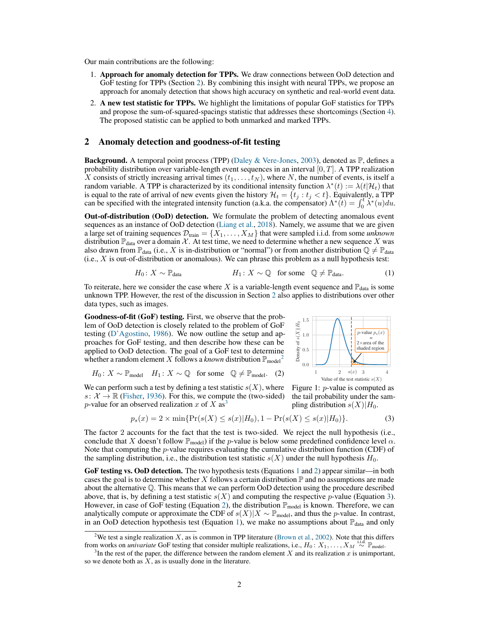Our main contributions are the following:

- 1. Approach for anomaly detection for TPPs. We draw connections between OoD detection and GoF testing for TPPs (Section [2\)](#page-1-0). By combining this insight with neural TPPs, we propose an approach for anomaly detection that shows high accuracy on synthetic and real-world event data.
- 2. A new test statistic for TPPs. We highlight the limitations of popular GoF statistics for TPPs and propose the sum-of-squared-spacings statistic that addresses these shortcomings (Section [4\)](#page-3-0). The proposed statistic can be applied to both unmarked and marked TPPs.

## <span id="page-1-0"></span>2 Anomaly detection and goodness-of-fit testing

**Background.** A temporal point process (TPP) [\(Daley & Vere-Jones,](#page-10-2) [2003\)](#page-10-2), denoted as  $\mathbb{P}$ , defines a probability distribution over variable-length event sequences in an interval  $[0, T]$ . A TPP realization X consists of strictly increasing arrival times  $(t_1, \ldots, t_N)$ , where N, the number of events, is itself a random variable. A TPP is characterized by its conditional intensity function  $\lambda^*(t) := \lambda(t|\mathcal{H}_t)$  that is equal to the rate of arrival of new events given the history  $\mathcal{H}_t = \{t_j : t_j < t\}$ . Equivalently, a TPP can be specified with the integrated intensity function (a.k.a. the compensator)  $\Lambda^*(t) = \int_0^t \lambda^*(u) du$ .

Out-of-distribution (OoD) detection. We formulate the problem of detecting anomalous event sequences as an instance of OoD detection [\(Liang et al.,](#page-10-3) [2018\)](#page-10-3). Namely, we assume that we are given a large set of training sequences  $\mathcal{D}_{\text{train}} = \{X_1, \ldots, X_M\}$  that were sampled i.i.d. from some *unknown* distribution  $\mathbb{P}_{data}$  over a domain X. At test time, we need to determine whether a new sequence X was also drawn from  $\mathbb{P}_{data}$  (i.e., X is in-distribution or "normal") or from another distribution  $\mathbb{Q} \neq \mathbb{P}_{data}$  $(i.e., X is out-of-distribution or anomalous).$  We can phrase this problem as a null hypothesis test:

$$
H_0: X \sim \mathbb{P}_{data} \qquad H_1: X \sim \mathbb{Q} \quad \text{for some} \quad \mathbb{Q} \neq \mathbb{P}_{data}. \tag{1}
$$

To reiterate, here we consider the case where X is a variable-length event sequence and  $\mathbb{P}_{data}$  is some unknown TPP. However, the rest of the discussion in Section [2](#page-1-0) also applies to distributions over other data types, such as images.

Goodness-of-fit (GoF) testing. First, we observe that the problem of OoD detection is closely related to the problem of GoF testing [\(D'Agostino,](#page-10-4) [1986\)](#page-10-4). We now outline the setup and approaches for GoF testing, and then describe how these can be applied to OoD detection. The goal of a GoF test to determine whether a random element X follows a *known* distribution  $\mathbb{P}_{\text{model}}^2$  $\mathbb{P}_{\text{model}}^2$ 

$$
H_0: X \sim \mathbb{P}_{\text{model}} \quad H_1: X \sim \mathbb{Q} \quad \text{for some} \quad \mathbb{Q} \neq \mathbb{P}_{\text{model}}. \quad (2)
$$

We can perform such a test by defining a test statistic  $s(X)$ , where  $s: \mathcal{X} \to \mathbb{R}$  [\(Fisher,](#page-10-5) [1936\)](#page-10-5). For this, we compute the (two-sided) p-value for an observed realization x of X as<sup>[3](#page-1-2)</sup>

<span id="page-1-3"></span>

<span id="page-1-5"></span><span id="page-1-4"></span>Figure 1: p-value is computed as the tail probability under the sampling distribution  $s(X)|H_0$ .

$$
p_s(x) = 2 \times \min\{\Pr(s(X) \le s(x)|H_0), 1 - \Pr(s(X) \le s(x)|H_0)\}.
$$
 (3)

The factor 2 accounts for the fact that the test is two-sided. We reject the null hypothesis (i.e., conclude that X doesn't follow  $\mathbb{P}_{model}$ ) if the p-value is below some predefined confidence level  $\alpha$ . Note that computing the  $p$ -value requires evaluating the cumulative distribution function (CDF) of the sampling distribution, i.e., the distribution test statistic  $s(X)$  under the null hypothesis  $H_0$ .

GoF testing vs. OoD detection. The two hypothesis tests (Equations [1](#page-1-3) and [2\)](#page-1-4) appear similar—in both cases the goal is to determine whether X follows a certain distribution  $\mathbb P$  and no assumptions are made about the alternative Q. This means that we can perform OoD detection using the procedure described above, that is, by defining a test statistic  $s(X)$  and computing the respective p-value (Equation [3\)](#page-1-5). However, in case of GoF testing (Equation [2\)](#page-1-4), the distribution  $\mathbb{P}_{\text{model}}$  is known. Therefore, we can analytically compute or approximate the CDF of  $s(X)|X \sim \mathbb{P}_{\text{model}}$ , and thus the p-value. In contrast, in an OoD detection hypothesis test (Equation [1\)](#page-1-3), we make no assumptions about  $\mathbb{P}_{data}$  and only

<span id="page-1-1"></span><sup>&</sup>lt;sup>2</sup>We test a single realization X, as is common in TPP literature [\(Brown et al.,](#page-9-0) [2002\)](#page-9-0). Note that this differs from works on *univariate* GoF testing that consider multiple realizations, i.e.,  $H_0: X_1, \ldots, X_M \stackrel{\text{i.i.d.}}{\sim} \mathbb{P}_{\text{model}}$ .

<span id="page-1-2"></span><sup>&</sup>lt;sup>3</sup>In the rest of the paper, the difference between the random element X and its realization x is unimportant, so we denote both as  $X$ , as is usually done in the literature.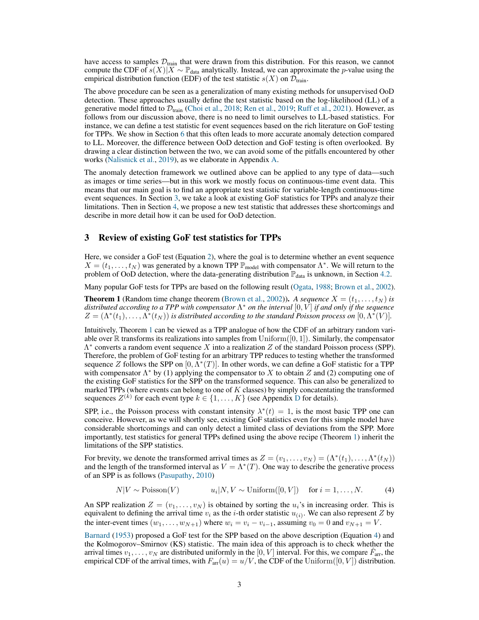have access to samples  $\mathcal{D}_{train}$  that were drawn from this distribution. For this reason, we cannot compute the CDF of  $s(X)|X \sim \mathbb{P}_{data}$  analytically. Instead, we can approximate the *p*-value using the empirical distribution function (EDF) of the test statistic  $s(X)$  on  $\mathcal{D}_{\text{train}}$ .

The above procedure can be seen as a generalization of many existing methods for unsupervised OoD detection. These approaches usually define the test statistic based on the log-likelihood (LL) of a generative model fitted to  $\mathcal{D}_{\text{train}}$  [\(Choi et al.,](#page-9-1) [2018;](#page-9-1) [Ren et al.,](#page-11-0) [2019;](#page-11-0) [Ruff et al.,](#page-11-4) [2021\)](#page-11-4). However, as follows from our discussion above, there is no need to limit ourselves to LL-based statistics. For instance, we can define a test statistic for event sequences based on the rich literature on GoF testing for TPPs. We show in Section [6](#page-6-0) that this often leads to more accurate anomaly detection compared to LL. Moreover, the difference between OoD detection and GoF testing is often overlooked. By drawing a clear distinction between the two, we can avoid some of the pitfalls encountered by other works [\(Nalisnick et al.,](#page-11-1) [2019\)](#page-11-1), as we elaborate in Appendix [A.](#page--1-0)

The anomaly detection framework we outlined above can be applied to any type of data—such as images or time series—but in this work we mostly focus on continuous-time event data. This means that our main goal is to find an appropriate test statistic for variable-length continuous-time event sequences. In Section [3,](#page-2-0) we take a look at existing GoF statistics for TPPs and analyze their limitations. Then in Section [4,](#page-3-0) we propose a new test statistic that addresses these shortcomings and describe in more detail how it can be used for OoD detection.

## <span id="page-2-0"></span>3 Review of existing GoF test statistics for TPPs

Here, we consider a GoF test (Equation [2\)](#page-1-4), where the goal is to determine whether an event sequence  $X = (t_1, \ldots, t_N)$  was generated by a known TPP  $\mathbb{P}_{\text{model}}$  with compensator  $\Lambda^*$ . We will return to the problem of OoD detection, where the data-generating distribution  $\mathbb{P}_{data}$  is unknown, in Section [4.2.](#page-4-0)

Many popular GoF tests for TPPs are based on the following result [\(Ogata,](#page-11-5) [1988;](#page-11-5) [Brown et al.,](#page-9-0) [2002\)](#page-9-0).

<span id="page-2-1"></span>**Theorem 1** (Random time change theorem [\(Brown et al.,](#page-9-0) [2002\)](#page-9-0)). A sequence  $X = (t_1, \ldots, t_N)$  is *distributed according to a TPP with compensator* Λ <sup>∗</sup> *on the interval* [0, V ] *if and only if the sequence*  $Z = (\Lambda^*(t_1), \ldots, \Lambda^*(t_N))$  is distributed according to the standard Poisson process on  $[0, \Lambda^*(V)].$ 

Intuitively, Theorem [1](#page-2-1) can be viewed as a TPP analogue of how the CDF of an arbitrary random variable over  $\mathbb R$  transforms its realizations into samples from Uniform([0, 1]). Similarly, the compensator  $\Lambda^*$  converts a random event sequence X into a realization Z of the standard Poisson process (SPP). Therefore, the problem of GoF testing for an arbitrary TPP reduces to testing whether the transformed sequence Z follows the SPP on  $[0, \overline{\Lambda}^*(T)]$ . In other words, we can define a GoF statistic for a TPP with compensator  $\Lambda^*$  by (1) applying the compensator to X to obtain Z and (2) computing one of the existing GoF statistics for the SPP on the transformed sequence. This can also be generalized to marked TPPs (where events can belong to one of  $K$  classes) by simply concatentating the transformed sequences  $Z^{(k)}$  for each event type  $k \in \{1, ..., K\}$  (see Appendix [D](#page--1-1) for details).

SPP, i.e., the Poisson process with constant intensity  $\lambda^*(t) = 1$ , is the most basic TPP one can conceive. However, as we will shortly see, existing GoF statistics even for this simple model have considerable shortcomings and can only detect a limited class of deviations from the SPP. More importantly, test statistics for general TPPs defined using the above recipe (Theorem [1\)](#page-2-1) inherit the limitations of the SPP statistics.

For brevity, we denote the transformed arrival times as  $Z = (v_1, \dots, v_N) = (\Lambda^*(t_1), \dots, \Lambda^*(t_N))$ and the length of the transformed interval as  $V = \Lambda^*(T)$ . One way to describe the generative process of an SPP is as follows [\(Pasupathy,](#page-11-6) [2010\)](#page-11-6)

<span id="page-2-2"></span>
$$
N|V \sim \text{Poisson}(V) \qquad u_i|N, V \sim \text{Uniform}([0, V]) \quad \text{for } i = 1, ..., N. \tag{4}
$$

An SPP realization  $Z = (v_1, \ldots, v_N)$  is obtained by sorting the  $u_i$ 's in increasing order. This is equivalent to defining the arrival time  $v_i$  as the *i*-th order statistic  $u_{(i)}$ . We can also represent Z by the inter-event times  $(w_1, \ldots, w_{N+1})$  where  $w_i = v_i - v_{i-1}$ , assuming  $v_0 = 0$  and  $v_{N+1} = V$ .

[Barnard](#page-9-2) [\(1953\)](#page-9-2) proposed a GoF test for the SPP based on the above description (Equation [4\)](#page-2-2) and the Kolmogorov–Smirnov (KS) statistic. The main idea of this approach is to check whether the arrival times  $v_1, \ldots, v_N$  are distributed uniformly in the [0, V] interval. For this, we compare  $\hat{F}_{\text{arr}}$ , the empirical CDF of the arrival times, with  $F_{\text{arr}}(u) = u/V$ , the CDF of the Uniform $([0, V])$  distribution.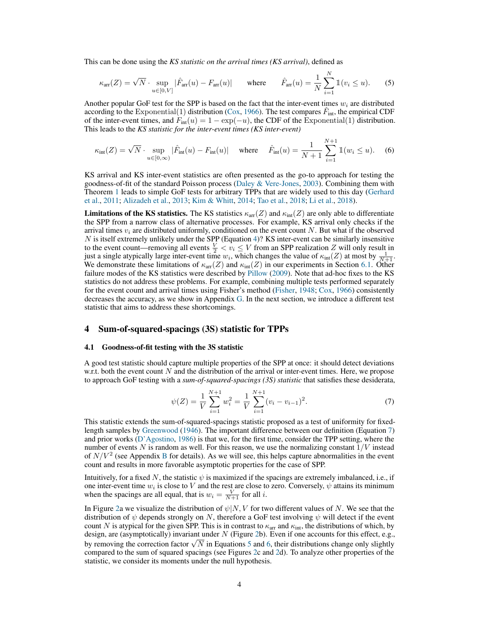This can be done using the *KS statistic on the arrival times (KS arrival)*, defined as

<span id="page-3-2"></span>
$$
\kappa_{\text{arr}}(Z) = \sqrt{N} \cdot \sup_{u \in [0, V]} |\hat{F}_{\text{arr}}(u) - F_{\text{arr}}(u)| \quad \text{where} \quad \hat{F}_{\text{arr}}(u) = \frac{1}{N} \sum_{i=1}^{N} \mathbb{1}(v_i \le u). \quad (5)
$$

Another popular GoF test for the SPP is based on the fact that the inter-event times  $w_i$  are distributed according to the Exponential(1) distribution [\(Cox,](#page-10-6) [1966\)](#page-10-6). The test compares  $\hat{F}_{int}$ , the empirical CDF of the inter-event times, and  $F_{\text{int}}(u) = 1 - \exp(-u)$ , the CDF of the Exponential(1) distribution. This leads to the *KS statistic for the inter-event times (KS inter-event)*

<span id="page-3-3"></span>
$$
\kappa_{\text{int}}(Z) = \sqrt{N} \cdot \sup_{u \in [0,\infty)} |\hat{F}_{\text{int}}(u) - F_{\text{int}}(u)| \quad \text{where} \quad \hat{F}_{\text{int}}(u) = \frac{1}{N+1} \sum_{i=1}^{N+1} \mathbb{1}(w_i \le u). \tag{6}
$$

KS arrival and KS inter-event statistics are often presented as the go-to approach for testing the goodness-of-fit of the standard Poisson process [\(Daley & Vere-Jones,](#page-10-2) [2003\)](#page-10-2). Combining them with Theorem [1](#page-2-1) leads to simple GoF tests for arbitrary TPPs that are widely used to this day [\(Gerhard](#page-10-7) [et al.,](#page-10-7) [2011;](#page-10-7) [Alizadeh et al.,](#page-9-3) [2013;](#page-9-3) [Kim & Whitt,](#page-10-8) [2014;](#page-10-8) [Tao et al.,](#page-11-7) [2018;](#page-11-7) [Li et al.,](#page-10-9) [2018\)](#page-10-9).

**Limitations of the KS statistics.** The KS statistics  $\kappa_{\text{arr}}(Z)$  and  $\kappa_{\text{int}}(Z)$  are only able to differentiate the SPP from a narrow class of alternative processes. For example, KS arrival only checks if the arrival times  $v_i$  are distributed uniformly, conditioned on the event count N. But what if the observed  $N$  is itself extremely unlikely under the SPP (Equation [4\)](#page-2-2)? KS inter-event can be similarly insensitive to the event count—removing all events  $\frac{V}{2} < v_i \leq V$  from an SPP realization Z will only result in just a single atypically large inter-event time  $w_i$ , which changes the value of  $\kappa_{\text{int}}(Z)$  at most by  $\frac{1}{N+1}$ . We demonstrate these limitations of  $\kappa_{\text{arr}}(Z)$  and  $\kappa_{\text{int}}(Z)$  in our experiments in Section [6.1.](#page-6-1) Other failure modes of the KS statistics were described by [Pillow](#page-11-8) [\(2009\)](#page-11-8). Note that ad-hoc fixes to the KS statistics do not address these problems. For example, combining multiple tests performed separately for the event count and arrival times using Fisher's method [\(Fisher,](#page-10-10) [1948;](#page-10-10) [Cox,](#page-10-6) [1966\)](#page-10-6) consistently decreases the accuracy, as we show in Appendix [G.](#page--1-2) In the next section, we introduce a different test statistic that aims to address these shortcomings.

## <span id="page-3-0"></span>4 Sum-of-squared-spacings (3S) statistic for TPPs

#### <span id="page-3-4"></span>4.1 Goodness-of-fit testing with the 3S statistic

A good test statistic should capture multiple properties of the SPP at once: it should detect deviations w.r.t. both the event count  $N$  and the distribution of the arrival or inter-event times. Here, we propose to approach GoF testing with a *sum-of-squared-spacings (3S) statistic* that satisfies these desiderata,

<span id="page-3-1"></span>
$$
\psi(Z) = \frac{1}{V} \sum_{i=1}^{N+1} w_i^2 = \frac{1}{V} \sum_{i=1}^{N+1} (v_i - v_{i-1})^2.
$$
\n(7)

This statistic extends the sum-of-squared-spacings statistic proposed as a test of uniformity for fixedlength samples by [Greenwood](#page-10-11) [\(1946\)](#page-10-11). The important difference between our definition (Equation [7\)](#page-3-1) and prior works [\(D'Agostino,](#page-10-4) [1986\)](#page-10-4) is that we, for the first time, consider the TPP setting, where the number of events  $N$  is random as well. For this reason, we use the normalizing constant  $1/V$  instead of  $N/V<sup>2</sup>$  (see Appendix [B](#page--1-3) for details). As we will see, this helps capture abnormalities in the event count and results in more favorable asymptotic properties for the case of SPP.

Intuitively, for a fixed N, the statistic  $\psi$  is maximized if the spacings are extremely imbalanced, i.e., if one inter-event time  $w_i$  is close to V and the rest are close to zero. Conversely,  $\psi$  attains its minimum when the spacings are all equal, that is  $w_i = \frac{V}{N+1}$  for all *i*.

In Figure [2a](#page-4-1) we visualize the distribution of  $\psi|N, V$  for two different values of N. We see that the distribution of  $\psi$  depends strongly on N, therefore a GoF test involving  $\psi$  will detect if the event count N is atypical for the given SPP. This is in contrast to  $\kappa_{\text{ar}}$  and  $\kappa_{\text{int}}$ , the distributions of which, by design, are (asymptotically) invariant under  $N$  (Figure [2b](#page-4-1)). Even if one accounts for this effect, e.g., design, are (asymptotically) invariant under *i*v (rigure 2b). Even if one accounts for this effect, e.g., by removing the correction factor  $\sqrt{N}$  in Equations [5](#page-3-2) and [6,](#page-3-3) their distributions change only slightly compared to the sum of squared spacings (see Figures [2c](#page-4-1) and [2d](#page-4-1)). To analyze other properties of the statistic, we consider its moments under the null hypothesis.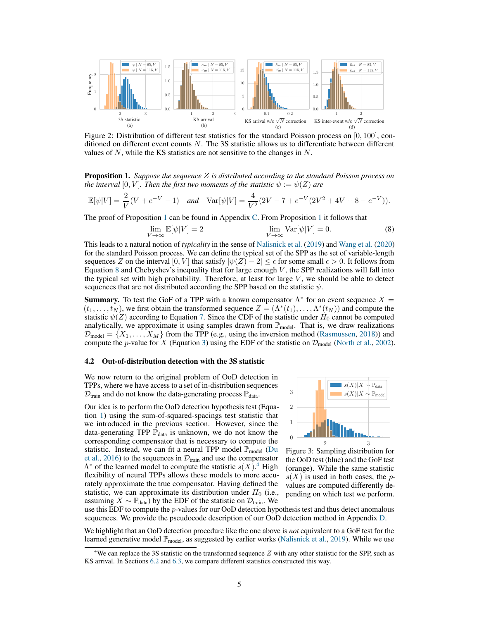

<span id="page-4-1"></span>Figure 2: Distribution of different test statistics for the standard Poisson process on  $[0, 100]$ , conditioned on different event counts  $N$ . The 3S statistic allows us to differentiate between different values of N, while the KS statistics are not sensitive to the changes in  $N$ .

<span id="page-4-2"></span>Proposition 1. *Suppose the sequence* Z *is distributed according to the standard Poisson process on the interval*  $[0, V]$ *. Then the first two moments of the statistic*  $\psi := \psi(Z)$  *are* 

$$
\mathbb{E}[\psi|V] = \frac{2}{V}(V + e^{-V} - 1) \quad \text{and} \quad \text{Var}[\psi|V] = \frac{4}{V^2}(2V - 7 + e^{-V}(2V^2 + 4V + 8 - e^{-V})).
$$

The proof of Proposition [1](#page-4-2) can be found in Appendix [C.](#page--1-4) From Proposition [1](#page-4-2) it follows that

$$
\lim_{V \to \infty} \mathbb{E}[\psi|V] = 2 \qquad \qquad \lim_{V \to \infty} \text{Var}[\psi|V] = 0. \tag{8}
$$

This leads to a natural notion of *typicality* in the sense of [Nalisnick et al.](#page-11-1) [\(2019\)](#page-11-1) and [Wang et al.](#page-11-2) [\(2020\)](#page-11-2) for the standard Poisson process. We can define the typical set of the SPP as the set of variable-length sequences Z on the interval  $[0, V]$  that satisfy  $|\psi(Z) - 2| \leq \epsilon$  for some small  $\epsilon > 0$ . It follows from Equation [8](#page-4-3) and Chebyshev's inequality that for large enough  $V$ , the SPP realizations will fall into the typical set with high probability. Therefore, at least for large  $V$ , we should be able to detect sequences that are not distributed according the SPP based on the statistic  $\psi$ .

**Summary.** To test the GoF of a TPP with a known compensator  $\Lambda^*$  for an event sequence  $X =$  $(t_1, \ldots, t_N)$ , we first obtain the transformed sequence  $Z = (\Lambda^*(t_1), \ldots, \Lambda^*(t_N))$  and compute the statistic  $\psi(Z)$  according to Equation [7.](#page-3-1) Since the CDF of the statistic under  $H_0$  cannot be computed analytically, we approximate it using samples drawn from  $\mathbb{P}_{model}$ . That is, we draw realizations  $\mathcal{D}_{\text{model}} = \{X_1, \ldots, X_M\}$  from the TPP (e.g., using the inversion method [\(Rasmussen,](#page-11-9) [2018\)](#page-11-9)) and compute the p-value for X (Equation [3\)](#page-1-5) using the EDF of the statistic on  $\mathcal{D}_{model}$  [\(North et al.,](#page-11-10) [2002\)](#page-11-10).

#### <span id="page-4-0"></span>4.2 Out-of-distribution detection with the 3S statistic

We now return to the original problem of OoD detection in TPPs, where we have access to a set of in-distribution sequences  $\mathcal{D}_{\text{train}}$  and do not know the data-generating process  $\mathbb{P}_{\text{data}}$ .

Our idea is to perform the OoD detection hypothesis test (Equation [1\)](#page-1-3) using the sum-of-squared-spacings test statistic that we introduced in the previous section. However, since the data-generating TPP  $\mathbb{P}_{data}$  is unknown, we do not know the corresponding compensator that is necessary to compute the statistic. Instead, we can fit a neural TPP model  $\mathbb{P}_{model}$  [\(Du](#page-10-1) [et al.,](#page-10-1) [2016\)](#page-10-1) to the sequences in  $\mathcal{D}_{\text{train}}$  and use the compensator  $\Lambda^*$  of the learned model to compute the statistic  $s(X)$ .<sup>[4](#page-4-4)</sup> High flexibility of neural TPPs allows these models to more accurately approximate the true compensator. Having defined the statistic, we can approximate its distribution under  $H_0$  (i.e., assuming  $X \sim \mathbb{P}_{data}$ ) by the EDF of the statistic on  $\mathcal{D}_{train}$ . We

<span id="page-4-3"></span>

<span id="page-4-5"></span>Figure 3: Sampling distribution for the OoD test (blue) and the GoF test (orange). While the same statistic  $s(X)$  is used in both cases, the pvalues are computed differently depending on which test we perform.

use this EDF to compute the  $p$ -values for our OoD detection hypothesis test and thus detect anomalous sequences. We provide the pseudocode description of our OoD detection method in Appendix [D.](#page--1-1)

We highlight that an OoD detection procedure like the one above is *not* equivalent to a GoF test for the learned generative model  $\mathbb{P}_{model}$ , as suggested by earlier works [\(Nalisnick et al.,](#page-11-1) [2019\)](#page-11-1). While we use

<span id="page-4-4"></span><sup>&</sup>lt;sup>4</sup>We can replace the 3S statistic on the transformed sequence  $Z$  with any other statistic for the SPP, such as KS arrival. In Sections [6.2](#page-7-0) and [6.3,](#page-8-0) we compare different statistics constructed this way.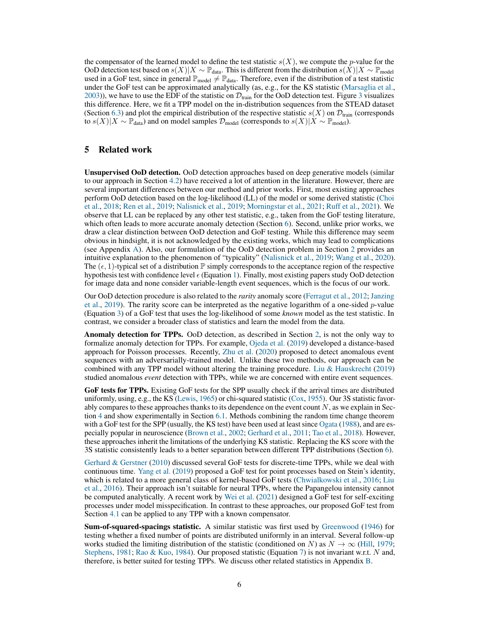the compensator of the learned model to define the test statistic  $s(X)$ , we compute the p-value for the OoD detection test based on  $s(X)|X \sim \mathbb{P}_{data}$ . This is different from the distribution  $s(X)|X \sim \mathbb{P}_{model}$ used in a GoF test, since in general  $\mathbb{P}_{model} \neq \mathbb{P}_{data}$ . Therefore, even if the distribution of a test statistic under the GoF test can be approximated analytically (as, e.g., for the KS statistic [\(Marsaglia et al.,](#page-10-12) [2003\)](#page-10-12)), we have to use the EDF of the statistic on  $\mathcal{D}_{\text{train}}$  for the OoD detection test. Figure [3](#page-4-5) visualizes this difference. Here, we fit a TPP model on the in-distribution sequences from the STEAD dataset (Section [6.3\)](#page-8-0) and plot the empirical distribution of the respective statistic  $s(X)$  on  $\mathcal{D}_{\text{train}}$  (corresponds to  $s(X)|X \sim \mathbb{P}_{data}$ ) and on model samples  $\mathcal{D}_{model}$  (corresponds to  $s(X)|X \sim \mathbb{P}_{model}$ ).

## 5 Related work

Unsupervised OoD detection. OoD detection approaches based on deep generative models (similar to our approach in Section [4.2\)](#page-4-0) have received a lot of attention in the literature. However, there are several important differences between our method and prior works. First, most existing approaches perform OoD detection based on the log-likelihood (LL) of the model or some derived statistic [\(Choi](#page-9-1) [et al.,](#page-9-1) [2018;](#page-9-1) [Ren et al.,](#page-11-0) [2019;](#page-11-0) [Nalisnick et al.,](#page-11-1) [2019;](#page-11-1) [Morningstar et al.,](#page-11-11) [2021;](#page-11-11) [Ruff et al.,](#page-11-4) [2021\)](#page-11-4). We observe that LL can be replaced by any other test statistic, e.g., taken from the GoF testing literature, which often leads to more accurate anomaly detection (Section [6\)](#page-6-0). Second, unlike prior works, we draw a clear distinction between OoD detection and GoF testing. While this difference may seem obvious in hindsight, it is not acknowledged by the existing works, which may lead to complications (see Appendix [A\)](#page--1-0). Also, our formulation of the OoD detection problem in Section [2](#page-1-0) provides an intuitive explanation to the phenomenon of "typicality" [\(Nalisnick et al.,](#page-11-1) [2019;](#page-11-1) [Wang et al.,](#page-11-2) [2020\)](#page-11-2). The  $(\epsilon, 1)$ -typical set of a distribution  $\mathbb P$  simply corresponds to the acceptance region of the respective hypothesis test with confidence level  $\epsilon$  (Equation [1\)](#page-1-3). Finally, most existing papers study OoD detection for image data and none consider variable-length event sequences, which is the focus of our work.

Our OoD detection procedure is also related to the *rarity* anomaly score [\(Ferragut et al.,](#page-10-13) [2012;](#page-10-13) [Janzing](#page-10-14) [et al.,](#page-10-14) [2019\)](#page-10-14). The rarity score can be interpreted as the negative logarithm of a one-sided  $p$ -value (Equation [3\)](#page-1-5) of a GoF test that uses the log-likelihood of some *known* model as the test statistic. In contrast, we consider a broader class of statistics and learn the model from the data.

Anomaly detection for TPPs. OoD detection, as described in Section [2,](#page-1-0) is not the only way to formalize anomaly detection for TPPs. For example, [Ojeda et al.](#page-11-12) [\(2019\)](#page-11-12) developed a distance-based approach for Poisson processes. Recently, [Zhu et al.](#page-12-0) [\(2020\)](#page-12-0) proposed to detect anomalous event sequences with an adversarially-trained model. Unlike these two methods, our approach can be combined with any TPP model without altering the training procedure. [Liu & Hauskrecht](#page-10-15) [\(2019\)](#page-10-15) studied anomalous *event* detection with TPPs, while we are concerned with entire event sequences.

GoF tests for TPPs. Existing GoF tests for the SPP usually check if the arrival times are distributed uniformly, using, e.g., the KS [\(Lewis,](#page-10-16) [1965\)](#page-10-16) or chi-squared statistic [\(Cox,](#page-9-4) [1955\)](#page-9-4). Our 3S statistic favorably compares to these approaches thanks to its dependence on the event count  $N$ , as we explain in Section [4](#page-3-0) and show experimentally in Section [6.1.](#page-6-1) Methods combining the random time change theorem with a GoF test for the SPP (usually, the KS test) have been used at least since [Ogata](#page-11-5) [\(1988\)](#page-11-5), and are especially popular in neuroscience [\(Brown et al.,](#page-9-0) [2002;](#page-9-0) [Gerhard et al.,](#page-10-7) [2011;](#page-10-7) [Tao et al.,](#page-11-7) [2018\)](#page-11-7). However, these approaches inherit the limitations of the underlying KS statistic. Replacing the KS score with the 3S statistic consistently leads to a better separation between different TPP distributions (Section [6\)](#page-6-0).

[Gerhard & Gerstner](#page-10-17) [\(2010\)](#page-10-17) discussed several GoF tests for discrete-time TPPs, while we deal with continuous time. [Yang et al.](#page-12-1) [\(2019\)](#page-12-1) proposed a GoF test for point processes based on Stein's identity, which is related to a more general class of kernel-based GoF tests [\(Chwialkowski et al.,](#page-9-5) [2016;](#page-9-5) [Liu](#page-10-18) [et al.,](#page-10-18) [2016\)](#page-10-18). Their approach isn't suitable for neural TPPs, where the Papangelou intensity cannot be computed analytically. A recent work by [Wei et al.](#page-12-2) [\(2021\)](#page-12-2) designed a GoF test for self-exciting processes under model misspecification. In contrast to these approaches, our proposed GoF test from Section [4.1](#page-3-4) can be applied to any TPP with a known compensator.

Sum-of-squared-spacings statistic. A similar statistic was first used by [Greenwood](#page-10-11) [\(1946\)](#page-10-11) for testing whether a fixed number of points are distributed uniformly in an interval. Several follow-up works studied the limiting distribution of the statistic (conditioned on N) as  $N \to \infty$  [\(Hill,](#page-10-19) [1979;](#page-10-19) [Stephens,](#page-11-13) [1981;](#page-11-13) [Rao & Kuo,](#page-11-14) [1984\)](#page-11-14). Our proposed statistic (Equation [7\)](#page-3-1) is not invariant w.r.t. N and, therefore, is better suited for testing TPPs. We discuss other related statistics in Appendix [B.](#page--1-3)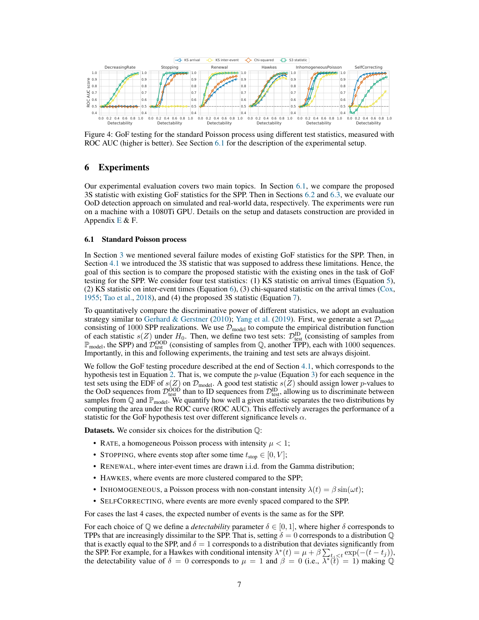

<span id="page-6-2"></span>Figure 4: GoF testing for the standard Poisson process using different test statistics, measured with ROC AUC (higher is better). See Section [6.1](#page-6-1) for the description of the experimental setup.

# <span id="page-6-0"></span>6 Experiments

Our experimental evaluation covers two main topics. In Section [6.1,](#page-6-1) we compare the proposed 3S statistic with existing GoF statistics for the SPP. Then in Sections [6.2](#page-7-0) and [6.3,](#page-8-0) we evaluate our OoD detection approach on simulated and real-world data, respectively. The experiments were run on a machine with a 1080Ti GPU. Details on the setup and datasets construction are provided in Appendix  $E \& F$  $E \& F$ .

#### <span id="page-6-1"></span>6.1 Standard Poisson process

In Section [3](#page-2-0) we mentioned several failure modes of existing GoF statistics for the SPP. Then, in Section [4.1](#page-3-4) we introduced the 3S statistic that was supposed to address these limitations. Hence, the goal of this section is to compare the proposed statistic with the existing ones in the task of GoF testing for the SPP. We consider four test statistics: (1) KS statistic on arrival times (Equation [5\)](#page-3-2), (2) KS statistic on inter-event times (Equation [6\)](#page-3-3), (3) chi-squared statistic on the arrival times ( $Cox$ , [1955;](#page-9-4) [Tao et al.,](#page-11-7) [2018\)](#page-11-7), and (4) the proposed 3S statistic (Equation [7\)](#page-3-1).

To quantitatively compare the discriminative power of different statistics, we adopt an evaluation strategy similar to [Gerhard & Gerstner](#page-10-17) [\(2010\)](#page-10-17); [Yang et al.](#page-12-1) [\(2019\)](#page-12-1). First, we generate a set  $\mathcal{D}_{model}$ consisting of 1000 SPP realizations. We use  $\mathcal{D}_{model}$  to compute the empirical distribution function of each statistic  $s(Z)$  under  $H_0$ . Then, we define two test sets:  $\mathcal{D}_{\text{test}}^{\text{ID}}$  (consisting of samples from  $\mathbb{P}_{\text{model}}$ , the SPP) and  $\mathcal{D}_{\text{test}}^{\text{OOD}}$  (consisting of samples from  $\mathbb{Q}$ , another TPP), each with 1000 sequences. Importantly, in this and following experiments, the training and test sets are always disjoint.

We follow the GoF testing procedure described at the end of Section [4.1,](#page-3-4) which corresponds to the hypothesis test in Equation [2.](#page-1-4) That is, we compute the  $p$ -value (Equation [3\)](#page-1-5) for each sequence in the test sets using the EDF of  $s(Z)$  on  $\mathcal{D}_{\text{model}}$ . A good test statistic  $s(Z)$  should assign lower p-values to the OoD sequences from  $\mathcal{D}_{\text{test}}^{\text{OOD}}$  than to ID sequences from  $\mathcal{D}_{\text{test}}^{\text{ID}}$ , allowing us to discriminate between samples from  $\mathbb Q$  and  $\mathbb P_{\text{model}}$ . We quantify how well a given statistic separates the two distributions by computing the area under the ROC curve (ROC AUC). This effectively averages the performance of a statistic for the GoF hypothesis test over different significance levels  $\alpha$ .

**Datasets.** We consider six choices for the distribution  $\mathbb{Q}$ :

- RATE, a homogeneous Poisson process with intensity  $\mu < 1$ ;
- STOPPING, where events stop after some time  $t_{stop} \in [0, V]$ ;
- RENEWAL, where inter-event times are drawn i.i.d. from the Gamma distribution;
- HAWKES, where events are more clustered compared to the SPP;
- INHOMOGENEOUS, a Poisson process with non-constant intensity  $\lambda(t) = \beta \sin(\omega t)$ ;
- SELFCORRECTING, where events are more evenly spaced compared to the SPP.

For cases the last 4 cases, the expected number of events is the same as for the SPP.

For each choice of  $\mathbb Q$  we define a *detectability* parameter  $\delta \in [0,1]$ , where higher  $\delta$  corresponds to TPPs that are increasingly dissimilar to the SPP. That is, setting  $\delta = 0$  corresponds to a distribution  $\mathbb{Q}$ that is exactly equal to the SPP, and  $\delta = 1$  corresponds to a distribution that deviates significantly from the SPP. For example, for a Hawkes with conditional intensity  $\lambda^*(t) = \mu + \beta \sum_{t,j \leq t} \exp(-(t - t_j)),$ the detectability value of  $\delta = 0$  corresponds to  $\mu = 1$  and  $\beta = 0$  (i.e.,  $\overline{\lambda^*(t)} = 1$ ) making Q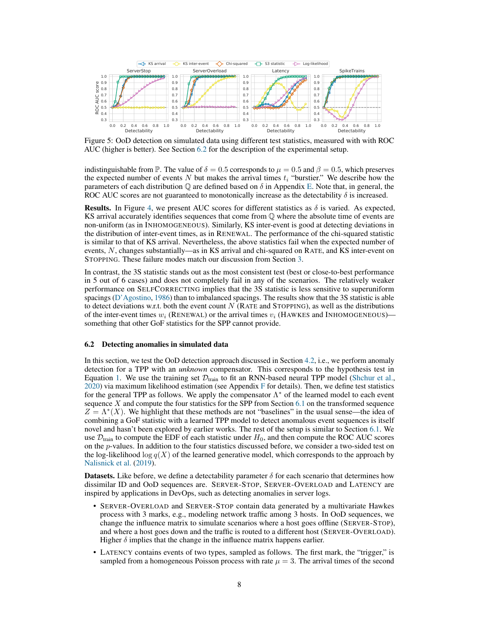

<span id="page-7-1"></span>Figure 5: OoD detection on simulated data using different test statistics, measured with with ROC AUC (higher is better). See Section [6.2](#page-7-0) for the description of the experimental setup.

indistinguishable from P. The value of  $\delta = 0.5$  corresponds to  $\mu = 0.5$  and  $\beta = 0.5$ , which preserves the expected number of events N but makes the arrival times  $t_i$  "burstier." We describe how the parameters of each distribution  $\mathbb Q$  are defined based on  $\delta$  in Appendix [E.](#page--1-5) Note that, in general, the ROC AUC scores are not guaranteed to monotonically increase as the detectability  $\delta$  is increased.

**Results.** In Figure [4,](#page-6-2) we present AUC scores for different statistics as  $\delta$  is varied. As expected, KS arrival accurately identifies sequences that come from Q where the absolute time of events are non-uniform (as in INHOMOGENEOUS). Similarly, KS inter-event is good at detecting deviations in the distribution of inter-event times, as in RENEWAL. The performance of the chi-squared statistic is similar to that of KS arrival. Nevertheless, the above statistics fail when the expected number of events, N, changes substantially—as in KS arrival and chi-squared on RATE, and KS inter-event on STOPPING. These failure modes match our discussion from Section [3.](#page-2-0)

In contrast, the 3S statistic stands out as the most consistent test (best or close-to-best performance in 5 out of 6 cases) and does not completely fail in any of the scenarios. The relatively weaker performance on SELFCORRECTING implies that the 3S statistic is less sensitive to superuniform spacings [\(D'Agostino,](#page-10-4) [1986\)](#page-10-4) than to imbalanced spacings. The results show that the 3S statistic is able to detect deviations w.r.t. both the event count  $N$  (RATE and STOPPING), as well as the distributions of the inter-event times  $w_i$  (RENEWAL) or the arrival times  $v_i$  (HAWKES and INHOMOGENEOUS)– something that other GoF statistics for the SPP cannot provide.

#### <span id="page-7-0"></span>6.2 Detecting anomalies in simulated data

In this section, we test the OoD detection approach discussed in Section [4.2,](#page-4-0) i.e., we perform anomaly detection for a TPP with an *unknown* compensator. This corresponds to the hypothesis test in Equation [1.](#page-1-3) We use the training set  $\mathcal{D}_{train}$  to fit an RNN-based neural TPP model [\(Shchur et al.,](#page-11-15)  $2020$ ) via maximum likelihood estimation (see Appendix [F](#page--1-6) for details). Then, we define test statistics for the general TPP as follows. We apply the compensator  $\Lambda^*$  of the learned model to each event sequence  $X$  and compute the four statistics for the SPP from Section [6.1](#page-6-1) on the transformed sequence  $Z = \Lambda^*(X)$ . We highlight that these methods are not "baselines" in the usual sense—the idea of combining a GoF statistic with a learned TPP model to detect anomalous event sequences is itself novel and hasn't been explored by earlier works. The rest of the setup is similar to Section [6.1.](#page-6-1) We use  $\mathcal{D}_{\text{train}}$  to compute the EDF of each statistic under  $H_0$ , and then compute the ROC AUC scores on the p-values. In addition to the four statistics discussed before, we consider a two-sided test on the log-likelihood  $\log q(X)$  of the learned generative model, which corresponds to the approach by [Nalisnick et al.](#page-11-1) [\(2019\)](#page-11-1).

**Datasets.** Like before, we define a detectability parameter  $\delta$  for each scenario that determines how dissimilar ID and OoD sequences are. SERVER-STOP, SERVER-OVERLOAD and LATENCY are inspired by applications in DevOps, such as detecting anomalies in server logs.

- SERVER-OVERLOAD and SERVER-STOP contain data generated by a multivariate Hawkes process with 3 marks, e.g., modeling network traffic among 3 hosts. In OoD sequences, we change the influence matrix to simulate scenarios where a host goes offline (SERVER-STOP), and where a host goes down and the traffic is routed to a different host (SERVER-OVERLOAD). Higher  $\delta$  implies that the change in the influence matrix happens earlier.
- LATENCY contains events of two types, sampled as follows. The first mark, the "trigger," is sampled from a homogeneous Poisson process with rate  $\mu = 3$ . The arrival times of the second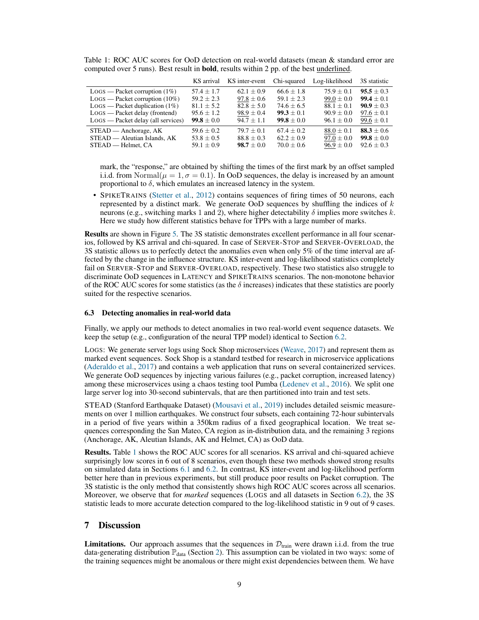<span id="page-8-1"></span>

|  |  |                                                                                                          |  |  |  |  |  | Table 1: ROC AUC scores for OoD detection on real-world datasets (mean & standard error are |  |
|--|--|----------------------------------------------------------------------------------------------------------|--|--|--|--|--|---------------------------------------------------------------------------------------------|--|
|  |  | computed over 5 runs). Best result in <b>bold</b> , results within 2 pp. of the best <u>underlined</u> . |  |  |  |  |  |                                                                                             |  |

|                                      | KS arrival     | KS inter-event | Chi-squared    | Log-likelihood | 3S statistic   |
|--------------------------------------|----------------|----------------|----------------|----------------|----------------|
| $Logs$ — Packet corruption (1%)      | $57.4 \pm 1.7$ | $62.1 \pm 0.9$ | $66.6 \pm 1.8$ | $75.9 + 0.1$   | $95.5 \pm 0.3$ |
| $Logs$ — Packet corruption (10%)     | $59.2 + 2.3$   | $97.8 \pm 0.6$ | $59.1 + 2.3$   | $99.0 \pm 0.0$ | $99.4 + 0.1$   |
| $LogS$ — Packet duplication (1%)     | $81.1 \pm 5.2$ | $82.8 \pm 5.0$ | $74.6 \pm 6.5$ | $88.1 \pm 0.1$ | $90.9 + 0.3$   |
| $LogS - Packet delay (frontend)$     | $95.6 \pm 1.2$ | $98.9 \pm 0.4$ | $99.3 \pm 0.1$ | $90.9 \pm 0.0$ | $97.6 \pm 0.1$ |
| $Logs$ — Packet delay (all services) | $99.8 \pm 0.0$ | $94.7 + 1.1$   | $99.8 + 0.0$   | $96.1 \pm 0.0$ | $99.6 \pm 0.1$ |
| $STEAD -$ Anchorage, AK              | $59.6 \pm 0.2$ | $79.7 \pm 0.1$ | $67.4 + 0.2$   | $88.0 \pm 0.1$ | 88.3 $\pm$ 0.6 |
| STEAD — Aleutian Islands, AK         | $53.8 \pm 0.5$ | $88.8 \pm 0.3$ | $62.2 \pm 0.9$ | $97.0 \pm 0.0$ | $99.8 \pm 0.0$ |
| STEAD — Helmet, CA                   | $59.1 \pm 0.9$ | $98.7 \pm 0.0$ | $70.0 \pm 0.6$ | $96.9 \pm 0.0$ | $92.6 \pm 0.3$ |

mark, the "response," are obtained by shifting the times of the first mark by an offset sampled i.i.d. from Normal $(\mu = 1, \sigma = 0.1)$ . In OoD sequences, the delay is increased by an amount proportional to  $\delta$ , which emulates an increased latency in the system.

• SPIKETRAINS [\(Stetter et al.,](#page-11-16) [2012\)](#page-11-16) contains sequences of firing times of 50 neurons, each represented by a distinct mark. We generate OoD sequences by shuffling the indices of  $k$ neurons (e.g., switching marks 1 and 2), where higher detectability  $\delta$  implies more switches k. Here we study how different statistics behave for TPPs with a large number of marks.

Results are shown in Figure [5.](#page-7-1) The 3S statistic demonstrates excellent performance in all four scenarios, followed by KS arrival and chi-squared. In case of SERVER-STOP and SERVER-OVERLOAD, the 3S statistic allows us to perfectly detect the anomalies even when only 5% of the time interval are affected by the change in the influence structure. KS inter-event and log-likelihood statistics completely fail on SERVER-STOP and SERVER-OVERLOAD, respectively. These two statistics also struggle to discriminate OoD sequences in LATENCY and SPIKETRAINS scenarios. The non-monotone behavior of the ROC AUC scores for some statistics (as the  $\delta$  increases) indicates that these statistics are poorly suited for the respective scenarios.

### <span id="page-8-0"></span>6.3 Detecting anomalies in real-world data

Finally, we apply our methods to detect anomalies in two real-world event sequence datasets. We keep the setup (e.g., configuration of the neural TPP model) identical to Section [6.2.](#page-7-0)

LOGS: We generate server logs using Sock Shop microservices [\(Weave,](#page-11-17) [2017\)](#page-11-17) and represent them as marked event sequences. Sock Shop is a standard testbed for research in microservice applications [\(Aderaldo et al.,](#page-9-6) [2017\)](#page-9-6) and contains a web application that runs on several containerized services. We generate OoD sequences by injecting various failures (e.g., packet corruption, increased latency) among these microservices using a chaos testing tool Pumba [\(Ledenev et al.,](#page-10-20) [2016\)](#page-10-20). We split one large server log into 30-second subintervals, that are then partitioned into train and test sets.

STEAD (Stanford Earthquake Dataset) [\(Mousavi et al.,](#page-11-18) [2019\)](#page-11-18) includes detailed seismic measurements on over 1 million earthquakes. We construct four subsets, each containing 72-hour subintervals in a period of five years within a 350km radius of a fixed geographical location. We treat sequences corresponding the San Mateo, CA region as in-distribution data, and the remaining 3 regions (Anchorage, AK, Aleutian Islands, AK and Helmet, CA) as OoD data.

Results. Table [1](#page-8-1) shows the ROC AUC scores for all scenarios. KS arrival and chi-squared achieve surprisingly low scores in 6 out of 8 scenarios, even though these two methods showed strong results on simulated data in Sections [6.1](#page-6-1) and [6.2.](#page-7-0) In contrast, KS inter-event and log-likelihood perform better here than in previous experiments, but still produce poor results on Packet corruption. The 3S statistic is the only method that consistently shows high ROC AUC scores across all scenarios. Moreover, we observe that for *marked* sequences (LOGS and all datasets in Section [6.2\)](#page-7-0), the 3S statistic leads to more accurate detection compared to the log-likelihood statistic in 9 out of 9 cases.

# 7 Discussion

**Limitations.** Our approach assumes that the sequences in  $\mathcal{D}_{train}$  were drawn i.i.d. from the true data-generating distribution  $\mathbb{P}_{data}$  (Section [2\)](#page-1-0). This assumption can be violated in two ways: some of the training sequences might be anomalous or there might exist dependencies between them. We have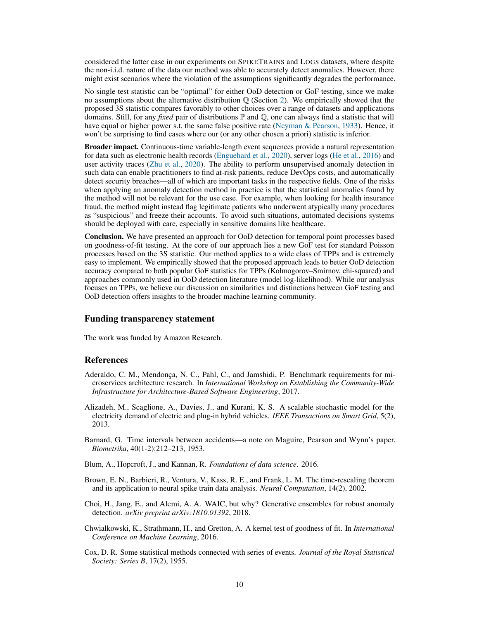considered the latter case in our experiments on SPIKETRAINS and LOGS datasets, where despite the non-i.i.d. nature of the data our method was able to accurately detect anomalies. However, there might exist scenarios where the violation of the assumptions significantly degrades the performance.

No single test statistic can be "optimal" for either OoD detection or GoF testing, since we make no assumptions about the alternative distribution  $\mathbb Q$  (Section [2\)](#page-1-0). We empirically showed that the proposed 3S statistic compares favorably to other choices over a range of datasets and applications domains. Still, for any *fixed* pair of distributions  $\mathbb P$  and  $\mathbb Q$ , one can always find a statistic that will have equal or higher power s.t. the same false positive rate [\(Neyman & Pearson,](#page-11-19) [1933\)](#page-11-19). Hence, it won't be surprising to find cases where our (or any other chosen a priori) statistic is inferior.

Broader impact. Continuous-time variable-length event sequences provide a natural representation for data such as electronic health records [\(Enguehard et al.,](#page-10-21) [2020\)](#page-10-21), server logs [\(He et al.,](#page-10-0) [2016\)](#page-10-0) and user activity traces [\(Zhu et al.,](#page-12-0) [2020\)](#page-12-0). The ability to perform unsupervised anomaly detection in such data can enable practitioners to find at-risk patients, reduce DevOps costs, and automatically detect security breaches—all of which are important tasks in the respective fields. One of the risks when applying an anomaly detection method in practice is that the statistical anomalies found by the method will not be relevant for the use case. For example, when looking for health insurance fraud, the method might instead flag legitimate patients who underwent atypically many procedures as "suspicious" and freeze their accounts. To avoid such situations, automated decisions systems should be deployed with care, especially in sensitive domains like healthcare.

Conclusion. We have presented an approach for OoD detection for temporal point processes based on goodness-of-fit testing. At the core of our approach lies a new GoF test for standard Poisson processes based on the 3S statistic. Our method applies to a wide class of TPPs and is extremely easy to implement. We empirically showed that the proposed approach leads to better OoD detection accuracy compared to both popular GoF statistics for TPPs (Kolmogorov–Smirnov, chi-squared) and approaches commonly used in OoD detection literature (model log-likelihood). While our analysis focuses on TPPs, we believe our discussion on similarities and distinctions between GoF testing and OoD detection offers insights to the broader machine learning community.

# Funding transparency statement

The work was funded by Amazon Research.

## **References**

- <span id="page-9-6"></span>Aderaldo, C. M., Mendonça, N. C., Pahl, C., and Jamshidi, P. Benchmark requirements for microservices architecture research. In *International Workshop on Establishing the Community-Wide Infrastructure for Architecture-Based Software Engineering*, 2017.
- <span id="page-9-3"></span>Alizadeh, M., Scaglione, A., Davies, J., and Kurani, K. S. A scalable stochastic model for the electricity demand of electric and plug-in hybrid vehicles. *IEEE Transactions on Smart Grid*, 5(2), 2013.
- <span id="page-9-2"></span>Barnard, G. Time intervals between accidents—a note on Maguire, Pearson and Wynn's paper. *Biometrika*, 40(1-2):212–213, 1953.
- Blum, A., Hopcroft, J., and Kannan, R. *Foundations of data science*. 2016.
- <span id="page-9-0"></span>Brown, E. N., Barbieri, R., Ventura, V., Kass, R. E., and Frank, L. M. The time-rescaling theorem and its application to neural spike train data analysis. *Neural Computation*, 14(2), 2002.
- <span id="page-9-1"></span>Choi, H., Jang, E., and Alemi, A. A. WAIC, but why? Generative ensembles for robust anomaly detection. *arXiv preprint arXiv:1810.01392*, 2018.
- <span id="page-9-5"></span>Chwialkowski, K., Strathmann, H., and Gretton, A. A kernel test of goodness of fit. In *International Conference on Machine Learning*, 2016.
- <span id="page-9-4"></span>Cox, D. R. Some statistical methods connected with series of events. *Journal of the Royal Statistical Society: Series B*, 17(2), 1955.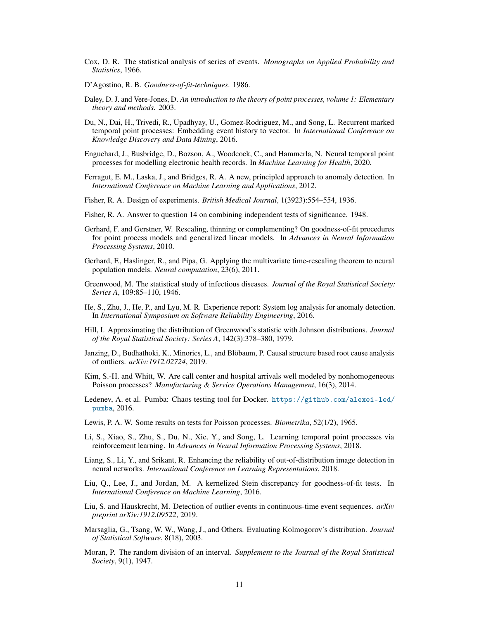- <span id="page-10-6"></span>Cox, D. R. The statistical analysis of series of events. *Monographs on Applied Probability and Statistics*, 1966.
- <span id="page-10-4"></span>D'Agostino, R. B. *Goodness-of-fit-techniques*. 1986.
- <span id="page-10-2"></span>Daley, D. J. and Vere-Jones, D. *An introduction to the theory of point processes, volume 1: Elementary theory and methods*. 2003.
- <span id="page-10-1"></span>Du, N., Dai, H., Trivedi, R., Upadhyay, U., Gomez-Rodriguez, M., and Song, L. Recurrent marked temporal point processes: Embedding event history to vector. In *International Conference on Knowledge Discovery and Data Mining*, 2016.
- <span id="page-10-21"></span>Enguehard, J., Busbridge, D., Bozson, A., Woodcock, C., and Hammerla, N. Neural temporal point processes for modelling electronic health records. In *Machine Learning for Health*, 2020.
- <span id="page-10-13"></span>Ferragut, E. M., Laska, J., and Bridges, R. A. A new, principled approach to anomaly detection. In *International Conference on Machine Learning and Applications*, 2012.
- <span id="page-10-5"></span>Fisher, R. A. Design of experiments. *British Medical Journal*, 1(3923):554–554, 1936.
- <span id="page-10-10"></span>Fisher, R. A. Answer to question 14 on combining independent tests of significance. 1948.
- <span id="page-10-17"></span>Gerhard, F. and Gerstner, W. Rescaling, thinning or complementing? On goodness-of-fit procedures for point process models and generalized linear models. In *Advances in Neural Information Processing Systems*, 2010.
- <span id="page-10-7"></span>Gerhard, F., Haslinger, R., and Pipa, G. Applying the multivariate time-rescaling theorem to neural population models. *Neural computation*, 23(6), 2011.
- <span id="page-10-11"></span>Greenwood, M. The statistical study of infectious diseases. *Journal of the Royal Statistical Society: Series A*, 109:85–110, 1946.
- <span id="page-10-0"></span>He, S., Zhu, J., He, P., and Lyu, M. R. Experience report: System log analysis for anomaly detection. In *International Symposium on Software Reliability Engineering*, 2016.
- <span id="page-10-19"></span>Hill, I. Approximating the distribution of Greenwood's statistic with Johnson distributions. *Journal of the Royal Statistical Society: Series A*, 142(3):378–380, 1979.
- <span id="page-10-14"></span>Janzing, D., Budhathoki, K., Minorics, L., and Blöbaum, P. Causal structure based root cause analysis of outliers. *arXiv:1912.02724*, 2019.
- <span id="page-10-8"></span>Kim, S.-H. and Whitt, W. Are call center and hospital arrivals well modeled by nonhomogeneous Poisson processes? *Manufacturing & Service Operations Management*, 16(3), 2014.
- <span id="page-10-20"></span>Ledenev, A. et al. Pumba: Chaos testing tool for Docker. [https://github.com/alexei-led/](https://github.com/alexei-led/pumba) [pumba](https://github.com/alexei-led/pumba), 2016.
- <span id="page-10-16"></span>Lewis, P. A. W. Some results on tests for Poisson processes. *Biometrika*, 52(1/2), 1965.
- <span id="page-10-9"></span>Li, S., Xiao, S., Zhu, S., Du, N., Xie, Y., and Song, L. Learning temporal point processes via reinforcement learning. In *Advances in Neural Information Processing Systems*, 2018.
- <span id="page-10-3"></span>Liang, S., Li, Y., and Srikant, R. Enhancing the reliability of out-of-distribution image detection in neural networks. *International Conference on Learning Representations*, 2018.
- <span id="page-10-18"></span>Liu, Q., Lee, J., and Jordan, M. A kernelized Stein discrepancy for goodness-of-fit tests. In *International Conference on Machine Learning*, 2016.
- <span id="page-10-15"></span>Liu, S. and Hauskrecht, M. Detection of outlier events in continuous-time event sequences. *arXiv preprint arXiv:1912.09522*, 2019.
- <span id="page-10-12"></span>Marsaglia, G., Tsang, W. W., Wang, J., and Others. Evaluating Kolmogorov's distribution. *Journal of Statistical Software*, 8(18), 2003.
- Moran, P. The random division of an interval. *Supplement to the Journal of the Royal Statistical Society*, 9(1), 1947.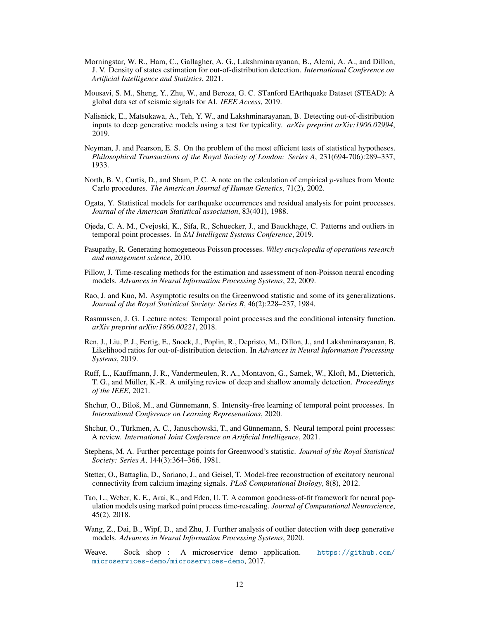- <span id="page-11-11"></span>Morningstar, W. R., Ham, C., Gallagher, A. G., Lakshminarayanan, B., Alemi, A. A., and Dillon, J. V. Density of states estimation for out-of-distribution detection. *International Conference on Artificial Intelligence and Statistics*, 2021.
- <span id="page-11-18"></span>Mousavi, S. M., Sheng, Y., Zhu, W., and Beroza, G. C. STanford EArthquake Dataset (STEAD): A global data set of seismic signals for AI. *IEEE Access*, 2019.
- <span id="page-11-1"></span>Nalisnick, E., Matsukawa, A., Teh, Y. W., and Lakshminarayanan, B. Detecting out-of-distribution inputs to deep generative models using a test for typicality. *arXiv preprint arXiv:1906.02994*, 2019.
- <span id="page-11-19"></span>Neyman, J. and Pearson, E. S. On the problem of the most efficient tests of statistical hypotheses. *Philosophical Transactions of the Royal Society of London: Series A*, 231(694-706):289–337, 1933.
- <span id="page-11-10"></span>North, B. V., Curtis, D., and Sham, P. C. A note on the calculation of empirical p-values from Monte Carlo procedures. *The American Journal of Human Genetics*, 71(2), 2002.
- <span id="page-11-5"></span>Ogata, Y. Statistical models for earthquake occurrences and residual analysis for point processes. *Journal of the American Statistical association*, 83(401), 1988.
- <span id="page-11-12"></span>Ojeda, C. A. M., Cvejoski, K., Sifa, R., Schuecker, J., and Bauckhage, C. Patterns and outliers in temporal point processes. In *SAI Intelligent Systems Conference*, 2019.
- <span id="page-11-6"></span>Pasupathy, R. Generating homogeneous Poisson processes. *Wiley encyclopedia of operations research and management science*, 2010.
- <span id="page-11-8"></span>Pillow, J. Time-rescaling methods for the estimation and assessment of non-Poisson neural encoding models. *Advances in Neural Information Processing Systems*, 22, 2009.
- <span id="page-11-14"></span>Rao, J. and Kuo, M. Asymptotic results on the Greenwood statistic and some of its generalizations. *Journal of the Royal Statistical Society: Series B*, 46(2):228–237, 1984.
- <span id="page-11-9"></span>Rasmussen, J. G. Lecture notes: Temporal point processes and the conditional intensity function. *arXiv preprint arXiv:1806.00221*, 2018.
- <span id="page-11-0"></span>Ren, J., Liu, P. J., Fertig, E., Snoek, J., Poplin, R., Depristo, M., Dillon, J., and Lakshminarayanan, B. Likelihood ratios for out-of-distribution detection. In *Advances in Neural Information Processing Systems*, 2019.
- <span id="page-11-4"></span>Ruff, L., Kauffmann, J. R., Vandermeulen, R. A., Montavon, G., Samek, W., Kloft, M., Dietterich, T. G., and Müller, K.-R. A unifying review of deep and shallow anomaly detection. *Proceedings of the IEEE*, 2021.
- <span id="page-11-15"></span>Shchur, O., Biloš, M., and Günnemann, S. Intensity-free learning of temporal point processes. In *International Conference on Learning Represenations*, 2020.
- <span id="page-11-3"></span>Shchur, O., Türkmen, A. C., Januschowski, T., and Günnemann, S. Neural temporal point processes: A review. *International Joint Conference on Artificial Intelligence*, 2021.
- <span id="page-11-13"></span>Stephens, M. A. Further percentage points for Greenwood's statistic. *Journal of the Royal Statistical Society: Series A*, 144(3):364–366, 1981.
- <span id="page-11-16"></span>Stetter, O., Battaglia, D., Soriano, J., and Geisel, T. Model-free reconstruction of excitatory neuronal connectivity from calcium imaging signals. *PLoS Computational Biology*, 8(8), 2012.
- <span id="page-11-7"></span>Tao, L., Weber, K. E., Arai, K., and Eden, U. T. A common goodness-of-fit framework for neural population models using marked point process time-rescaling. *Journal of Computational Neuroscience*, 45(2), 2018.
- <span id="page-11-2"></span>Wang, Z., Dai, B., Wipf, D., and Zhu, J. Further analysis of outlier detection with deep generative models. *Advances in Neural Information Processing Systems*, 2020.
- <span id="page-11-17"></span>Weave. Sock shop : A microservice demo application. [https://github.com/](https://github.com/microservices-demo/microservices-demo) [microservices-demo/microservices-demo](https://github.com/microservices-demo/microservices-demo), 2017.